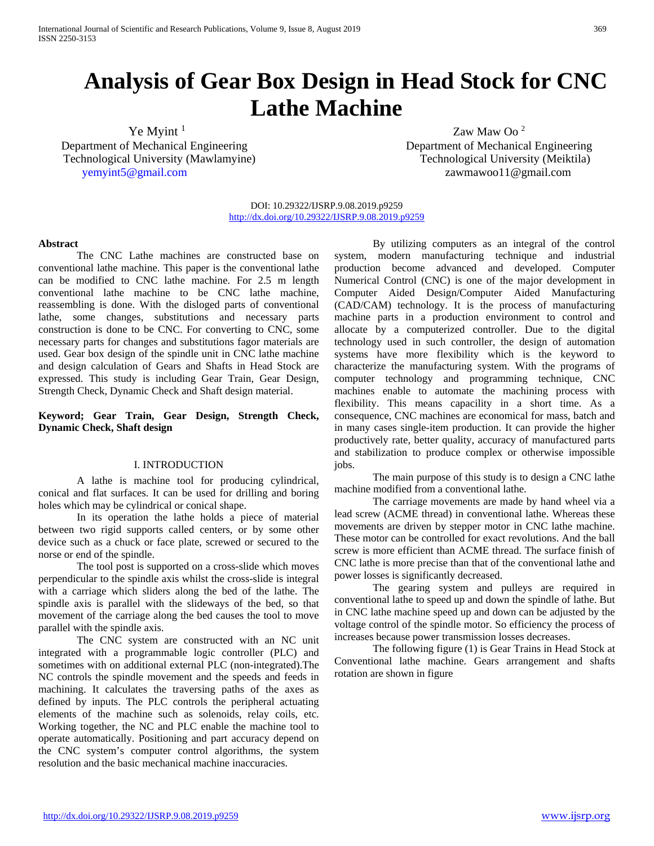# **Analysis of Gear Box Design in Head Stock for CNC Lathe Machine**

Department of Mechanical Engineering Department of Mechanical Engineering Technological University (Mawlamyine) Technological University (Meiktila) [yemyint5@gmail.com](mailto:yemyint5@gmail.com) zawmawoo11@gmail.com

 $\text{Ye}$  Myint  $\frac{1}{2}$   $\text{Zaw}$  Maw Oo  $\frac{2}{3}$ 

DOI: 10.29322/IJSRP.9.08.2019.p9259 <http://dx.doi.org/10.29322/IJSRP.9.08.2019.p9259>

### **Abstract**

The CNC Lathe machines are constructed base on conventional lathe machine. This paper is the conventional lathe can be modified to CNC lathe machine. For 2.5 m length conventional lathe machine to be CNC lathe machine, reassembling is done. With the disloged parts of conventional lathe, some changes, substitutions and necessary parts construction is done to be CNC. For converting to CNC, some necessary parts for changes and substitutions fagor materials are used. Gear box design of the spindle unit in CNC lathe machine and design calculation of Gears and Shafts in Head Stock are expressed. This study is including Gear Train, Gear Design, Strength Check, Dynamic Check and Shaft design material.

# **Keyword; Gear Train, Gear Design, Strength Check, Dynamic Check, Shaft design**

#### I. INTRODUCTION

A lathe is machine tool for producing cylindrical, conical and flat surfaces. It can be used for drilling and boring holes which may be cylindrical or conical shape.

In its operation the lathe holds a piece of material between two rigid supports called centers, or by some other device such as a chuck or face plate, screwed or secured to the norse or end of the spindle.

The tool post is supported on a cross-slide which moves perpendicular to the spindle axis whilst the cross-slide is integral with a carriage which sliders along the bed of the lathe. The spindle axis is parallel with the slideways of the bed, so that movement of the carriage along the bed causes the tool to move parallel with the spindle axis.

The CNC system are constructed with an NC unit integrated with a programmable logic controller (PLC) and sometimes with on additional external PLC (non-integrated).The NC controls the spindle movement and the speeds and feeds in machining. It calculates the traversing paths of the axes as defined by inputs. The PLC controls the peripheral actuating elements of the machine such as solenoids, relay coils, etc. Working together, the NC and PLC enable the machine tool to operate automatically. Positioning and part accuracy depend on the CNC system's computer control algorithms, the system resolution and the basic mechanical machine inaccuracies.

By utilizing computers as an integral of the control system, modern manufacturing technique and industrial production become advanced and developed. Computer Numerical Control (CNC) is one of the major development in Computer Aided Design/Computer Aided Manufacturing (CAD/CAM) technology. It is the process of manufacturing machine parts in a production environment to control and allocate by a computerized controller. Due to the digital technology used in such controller, the design of automation systems have more flexibility which is the keyword to characterize the manufacturing system. With the programs of computer technology and programming technique, CNC machines enable to automate the machining process with flexibility. This means capacility in a short time. As a consequence, CNC machines are economical for mass, batch and in many cases single-item production. It can provide the higher productively rate, better quality, accuracy of manufactured parts and stabilization to produce complex or otherwise impossible jobs.

The main purpose of this study is to design a CNC lathe machine modified from a conventional lathe.

The carriage movements are made by hand wheel via a lead screw (ACME thread) in conventional lathe. Whereas these movements are driven by stepper motor in CNC lathe machine. These motor can be controlled for exact revolutions. And the ball screw is more efficient than ACME thread. The surface finish of CNC lathe is more precise than that of the conventional lathe and power losses is significantly decreased.

The gearing system and pulleys are required in conventional lathe to speed up and down the spindle of lathe. But in CNC lathe machine speed up and down can be adjusted by the voltage control of the spindle motor. So efficiency the process of increases because power transmission losses decreases.

The following figure (1) is Gear Trains in Head Stock at Conventional lathe machine. Gears arrangement and shafts rotation are shown in figure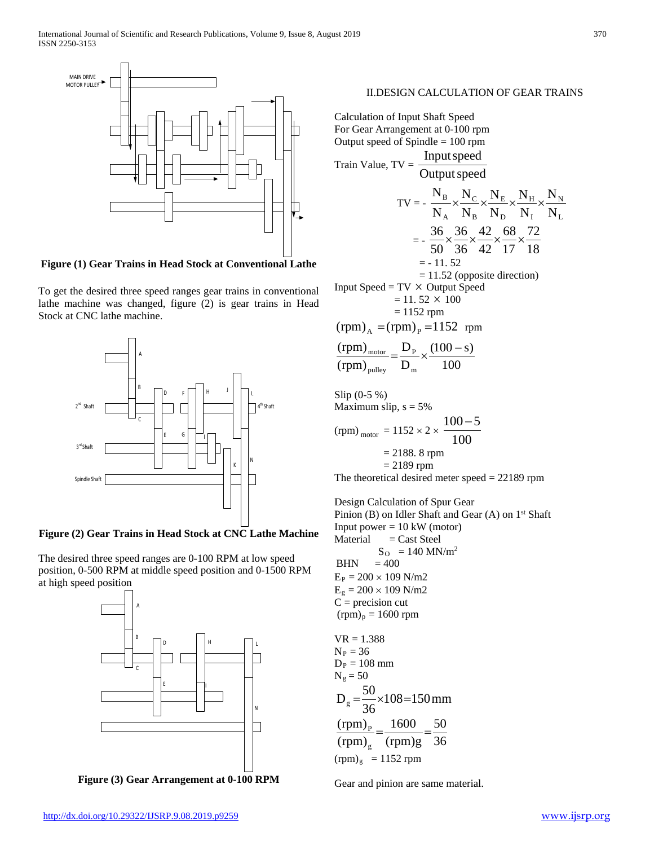

**Figure (1) Gear Trains in Head Stock at Conventional Lathe**

To get the desired three speed ranges gear trains in conventional lathe machine was changed, figure (2) is gear trains in Head Stock at CNC lathe machine.



**Figure (2) Gear Trains in Head Stock at CNC Lathe Machine**

The desired three speed ranges are 0-100 RPM at low speed position, 0-500 RPM at middle speed position and 0-1500 RPM at high speed position



**Figure (3) Gear Arrangement at 0-100 RPM**

### II.DESIGN CALCULATION OF GEAR TRAINS

Calculation of Input Shaft Speed For Gear Arrangement at 0-100 rpm Output speed of Spindle = 100 rpm Train Value,  $TV = \frac{1}{\text{Output speed}}$ Inputspeed  $TV = -$ I H D E B C A B N N N N N N N N N N  $\times \frac{14C}{12} \times \frac{14E}{12} \times \frac{14H}{12} \times$  $= -\frac{1}{50} \times \frac{1}{36} \times \frac{1}{42} \times \frac{1}{17} \times \frac{1}{18}$ 72 17 68 42 42 36 36 50  $\frac{36}{28} \times \frac{36}{28} \times \frac{42}{12} \times \frac{68}{12} \times$  $= -11.52$  = 11.52 (opposite direction) Input Speed  $= TV \times$  Output Speed  $= 11.52 \times 100$  $= 1152$  rpm  $(rpm)$ <sub>A</sub> =  $(rpm)$ <sub>p</sub> = 1152 rpm 100  $(100 - s)$ D D (rpm) (rpm) m P pulley  $\frac{\text{motor}}{\text{motor}} = \frac{D_{\text{P}}}{D} \times \frac{(100 - \text{C})^2}{n}$ Slip (0-5 %) Maximum slip,  $s = 5%$ (rpm)  $_{\text{motor}} = 1152 \times 2 \times \frac{100}{100}$ 100−5

$$
= 2188.8
$$
 rpm  

$$
= 2189
$$
 rpm

The theoretical desired meter speed = 22189 rpm

Design Calculation of Spur Gear Pinion (B) on Idler Shaft and Gear  $(A)$  on  $1<sup>st</sup>$  Shaft Input power  $= 10 \text{ kW}$  (motor)  $Material = Cast \tSteel$  $S_{\rm O} = 140$  MN/m<sup>2</sup>  $BHN = 400$  $E_P = 200 \times 109$  N/m2  $E_{g} = 200 \times 109$  N/m2  $C = precision cut$  $(rpm)_p = 1600$  rpm  $VR = 1.388$  $N_P = 36$ 

$$
D_P = 108 \text{ mm}
$$
  
\n
$$
N_g = 50
$$
  
\n
$$
D_g = \frac{50}{36} \times 108 = 150 \text{ mm}
$$
  
\n
$$
\frac{(rpm)_p}{(rpm)_g} = \frac{1600}{(rpm)g} = \frac{50}{36}
$$
  
\n
$$
(rpm)_g = 1152 \text{ rpm}
$$

Gear and pinion are same material.

L N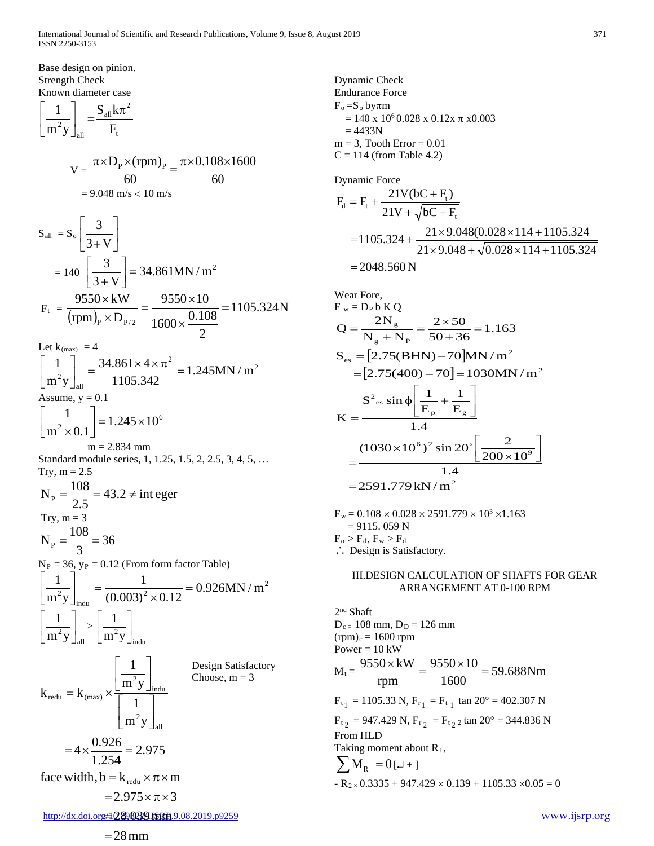Base design on pinion. Strength Check Known diameter case

$$
\left[\frac{1}{m^2y}\right]_{all} = \frac{S_{all}k\pi^2}{F_t}
$$

$$
V = \frac{\pi \times D_{P} \times (rpm)_{P}}{60} = \frac{\pi \times 0.108 \times 1600}{60}
$$
  
= 9.048 m/s < 10 m/s

$$
S_{all} = S_{o} \left[ \frac{3}{3 + V} \right]
$$
  
= 140 \left[ \frac{3}{3 + V} \right] = 34.861MN/m<sup>2</sup>  

$$
F_{t} = \frac{9550 \times kW}{(rpm)_{p} \times D_{p/2}} = \frac{9550 \times 10}{1600 \times \frac{0.108}{2}} = 1105.324N
$$

Let  $k_{(max)} = 4$ 

$$
\left[\frac{1}{m^2 y}\right]_{\text{all}} = \frac{34.861 \times 4 \times \pi^2}{1105.342} = 1.245 \text{MN/m}^2
$$
  
Assume, y = 0.1  

$$
\left[\frac{1}{m^2 \times 0.1}\right] = 1.245 \times 10^6
$$

$$
m = 2.834 \text{ mm}
$$
  
Standard module series, 1, 1.25, 1.5, 2, 2.5, 3, 4, 5, ...  
Try, m = 2.5

$$
N_{\rm p} = \frac{108}{2.5} = 43.2 \neq \text{integer}
$$
  
Try, m = 3  

$$
N_{\rm p} = \frac{108}{3} = 36
$$

 $N_P = 36$ ,  $y_P = 0.12$  (From form factor Table)

$$
\left[\frac{1}{m^2 y}\right]_{\text{indu}} = \frac{1}{(0.003)^2 \times 0.12} = 0.926 \text{MN} / \text{m}^2
$$

$$
\left[\frac{1}{m^2 y}\right]_{\text{all}} > \left[\frac{1}{m^2 y}\right]_{\text{indu}}
$$

Design Satisfactory Choose,  $m = 3$ face width,  $b = k_{\text{redu}} \times \pi \times m$ 2.975 1.254  $=4 \times \frac{0.926}{1.354}$  $\mathbf{m}^2\mathbf{y}$ 1  $\mathbf{m}^2\mathbf{y}$ 1  $k_{\text{redu}} = k$ all 2 indu 2 redu  $-\mathbf{r}_{\text{(max)}}$  $\overline{\phantom{a}}$  $\rfloor$  $\left| \frac{1}{m^2v} \right|$ L  $\mathsf{L}$  $\overline{\phantom{a}}$  $\rfloor$  $\left| \frac{1}{m^2v} \right|$ L  $\mathsf{L}$  $=$   $k_{\text{(max)}} \times$ 

 $= 2.975 \times \pi \times 3$ 

Dynamic Check Endurance Force  $F_o = S_o$  by $\pi m$  $= 140 \times 10^6 0.028 \times 0.12 \times \pi \times 0.003$  $= 4433N$  $m = 3$ , Tooth Error = 0.01  $C = 114$  (from Table 4.2)

Dynamic Force  
\n
$$
F_d = F_t + \frac{21V(bC + F_t)}{21V + \sqrt{bC + F_t}}
$$
\n= 1105.324 + \frac{21 \times 9.048(0.028 \times 114 + 1105.324)}{21 \times 9.048 + \sqrt{0.028 \times 114 + 1105.324}}\n= 2048.560 N

Wear Fore,

\n
$$
F_{w} = D_{P} b K Q
$$
\n
$$
Q = \frac{2N_{g}}{N_{g} + N_{P}} = \frac{2 \times 50}{50 + 36} = 1.163
$$
\n
$$
S_{es} = [2.75(BHN) - 70]MN/m^{2}
$$
\n
$$
= [2.75(400) - 70] = 1030MN/m^{2}
$$
\n
$$
K = \frac{S^{2}c_{ss} \sin \phi \left[\frac{1}{E_{p}} + \frac{1}{E_{g}}\right]}{1.4}
$$
\n
$$
(1030 \times 10^{6})^{2} \sin 20^{\circ} \left[\frac{2}{200 \times 10^{9}}\right]}
$$
\n
$$
= \frac{1.4}{1.4}
$$
\n
$$
= 2591.779 kN/m^{2}
$$

 $F_w = 0.108 \times 0.028 \times 2591.779 \times 10^3 \times 1.163$  $= 9115.059 N$  $F_o > F_d, F_w > F_d$ ∴ Design is Satisfactory.

# III.DESIGN CALCULATION OF SHAFTS FOR GEAR ARRANGEMENT AT 0-100 RPM

2nd Shaft  $D_{c} = 108$  mm,  $D_D = 126$  mm  $(rpm)<sub>c</sub> = 1600$  rpm Power =  $10 \text{ kW}$  $M_t = \frac{3330 \times KN}{1588} = \frac{3330 \times 10}{1588} = 59.688 \text{Nm}$ 1600  $9550\times 10$ rpm  $\frac{9550 \times kW}{4000} = \frac{9550 \times 10}{4000} =$  $F_{t_1}$  = 1105.33 N,  $F_{r_1}$  =  $F_{t_1}$  tan 20° = 402.307 N  $F_{t_2}$  = 947.429 N,  $F_{r_2}$  =  $F_{t_2}$  z tan 20° = 344.836 N From HLD Taking moment about  $R_1$ ,  $\sum M_{R_1} = 0$  [ $\downarrow$  + ]  $-R_{2} \times 0.3335 + 947.429 \times 0.139 + 1105.33 \times 0.05 = 0$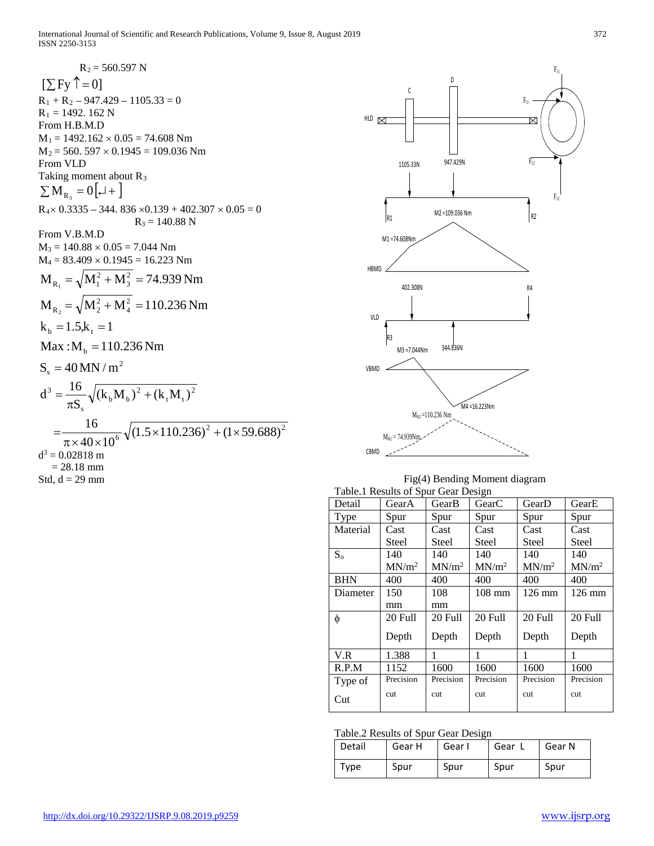$R_2 = 560.597$  N  $[\sum Fy \uparrow = 0]$  $R_1 + R_2 - 947.429 - 1105.33 = 0$  $R_1 = 1492. 162 N$ From H.B.M.D  $M_1 = 1492.162 \times 0.05 = 74.608$  Nm  $M_2 = 560.597 \times 0.1945 = 109.036$  Nm From VLD Taking moment about R<sub>3</sub>  $\sum M_{R_3} = 0$ [ $\downarrow$ +]  $R_4 \times 0.3335 - 344.836 \times 0.139 + 402.307 \times 0.05 = 0$  $R_3 = 140.88$  N From V.B.M.D  $M_3 = 140.88 \times 0.05 = 7.044$  Nm  $M_4 = 83.409 \times 0.1945 = 16.223$  Nm 2  $S_s = 40$  MN / m  $Max: M_{b} = 110.236 Nm$  $k_b = 1.5, k_t = 1$ 2 4 2  $M_{R_2} = \sqrt{M_2^2 + M_4^2} = 110.236$  Nm 2 3 2  $M_{R_1} = \sqrt{M_1^2 + M_3^2} = 74.939$  Nm  $^{2}$   $(1)$  50.600<sup>2</sup>  $=\frac{16}{\pi \times 40 \times 10^6} \sqrt{(1.5 \times 110.236)^2 + (1 \times 59.688)}$ 2 t  $\mathbf{t}$ 2  $b^{111}b$ s  $d^3 = {16 \over \pi S_s} \sqrt{(k_b M_b)^2 + (k_t M_t)}$  $d^3 = 0.02818$  m  $= 28.18$  mm Std,  $d = 29$  mm



| Fig(4) Bending Moment diagram       |
|-------------------------------------|
| Table 1 Results of Spur Gear Design |

| Detail      | GearA             | GearB             | GearC             | GearD             | GearE             |
|-------------|-------------------|-------------------|-------------------|-------------------|-------------------|
| <b>Type</b> | Spur              | Spur              | Spur              | Spur              | Spur              |
| Material    | Cast              | Cast              | Cast              | Cast              | Cast              |
|             | Steel             | Steel             | Steel             | Steel             | Steel             |
| $S_{0}$     | 140               | 140               | 140               | 140               | 140               |
|             | MN/m <sup>2</sup> | MN/m <sup>2</sup> | MN/m <sup>2</sup> | MN/m <sup>2</sup> | MN/m <sup>2</sup> |
| <b>BHN</b>  | 400               | 400               | 400               | 400               | 400               |
| Diameter    | 150               | 108               | $108 \text{ mm}$  | $126 \text{ mm}$  | $126 \text{ mm}$  |
|             | mm                | mm                |                   |                   |                   |
| φ           | 20 Full           | 20 Full           | 20 Full           | 20 Full           | 20 Full           |
|             | Depth             | Depth             | Depth             | Depth             | Depth             |
| V.R         | 1.388             | 1                 | 1                 | 1                 | 1                 |
| R.P.M       | 1152              | 1600              | 1600              | 1600              | 1600              |
| Type of     | Precision         | Precision         | Precision         | Precision         | Precision         |
| Cut         | cut               | cut               | cut               | cut               | cut               |

Table.2 Results of Spur Gear Design

| Detail | Gear H | Gear I | Gear L | Gear N |
|--------|--------|--------|--------|--------|
| Type   | Spur   | Spur   | Spur   | Spur   |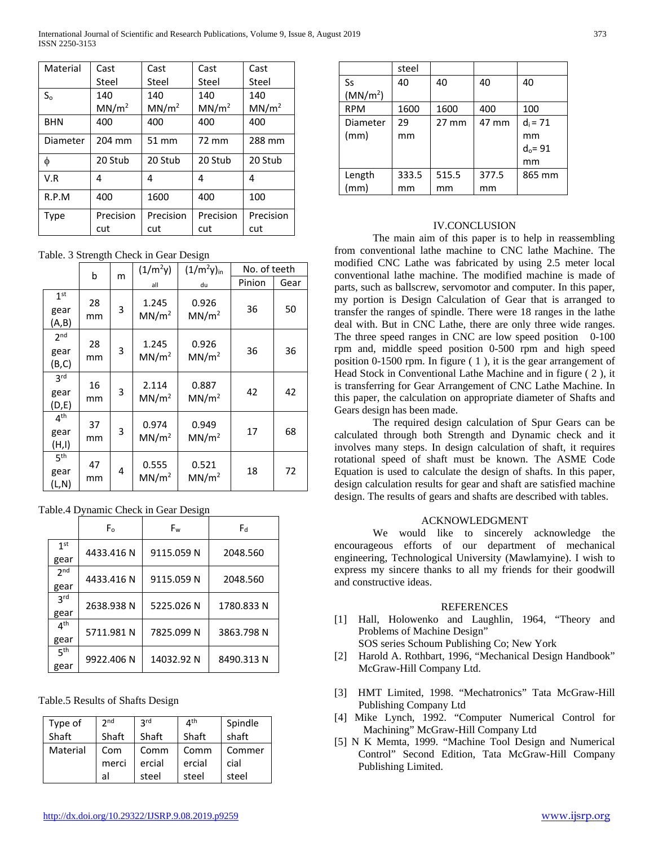| Material   | Cast              | Cast              | Cast              | Cast              |
|------------|-------------------|-------------------|-------------------|-------------------|
|            | Steel             | Steel             | Steel             | Steel             |
| $S_0$      | 140               | 140               | 140               | 140               |
|            | MN/m <sup>2</sup> | MN/m <sup>2</sup> | MN/m <sup>2</sup> | MN/m <sup>2</sup> |
| <b>BHN</b> | 400               | 400               | 400               | 400               |
| Diameter   | 204 mm            | 51 mm             | 72 mm             | 288 mm            |
| φ          | 20 Stub           | 20 Stub           | 20 Stub           | 20 Stub           |
| V.R        | 4                 | 4                 | 4                 | 4                 |
| R.P.M      | 400               | 1600              | 400               | 100               |
| Type       | Precision         | Precision         | Precision         | Precision         |
|            | cut               | cut               | cut               | cut               |

Table. 3 Strength Check in Gear Design

|                                  | b        |   | $(1/m^2y)$                 | $(1/m^2y)_{in}$            | No. of teeth |      |
|----------------------------------|----------|---|----------------------------|----------------------------|--------------|------|
|                                  |          | m | all                        | du                         | Pinion       | Gear |
| 1 <sup>st</sup><br>gear<br>(A,B) | 28<br>mm | 3 | 1.245<br>MN/m <sup>2</sup> | 0.926<br>MN/m <sup>2</sup> | 36           | 50   |
| 2 <sub>nd</sub><br>gear<br>(B,C) | 28<br>mm | 3 | 1.245<br>MN/m <sup>2</sup> | 0.926<br>MN/m <sup>2</sup> | 36           | 36   |
| 3 <sup>rd</sup><br>gear<br>(D,E) | 16<br>mm | 3 | 2.114<br>MN/m <sup>2</sup> | 0.887<br>MN/m <sup>2</sup> | 42           | 42   |
| 4 <sup>th</sup><br>gear<br>(H,I) | 37<br>mm | 3 | 0.974<br>MN/m <sup>2</sup> | 0.949<br>MN/m <sup>2</sup> | 17           | 68   |
| 5 <sup>th</sup><br>gear<br>(L,N) | 47<br>mm | 4 | 0.555<br>MN/m <sup>2</sup> | 0.521<br>MN/m <sup>2</sup> | 18           | 72   |

Table.4 Dynamic Check in Gear Design

|                         | F.         | Fw         | F۹         |
|-------------------------|------------|------------|------------|
| 1 <sup>st</sup><br>gear | 4433.416 N | 9115.059 N | 2048.560   |
| 2 <sub>nd</sub><br>gear | 4433.416 N | 9115.059 N | 2048.560   |
| <b>3rd</b><br>gear      | 2638.938 N | 5225.026 N | 1780.833 N |
| 4 <sup>th</sup><br>gear | 5711.981 N | 7825.099 N | 3863.798 N |
| 5 <sup>th</sup><br>gear | 9922.406 N | 14032.92 N | 8490.313 N |

Table.5 Results of Shafts Design

| Type of  | 2 <sub>nd</sub> | <b>2rd</b> | $4^{\text{th}}$ | Spindle |
|----------|-----------------|------------|-----------------|---------|
| Shaft    | Shaft           | Shaft      | Shaft           | shaft   |
| Material | Com             | Comm       | Comm            | Commer  |
|          | merci           | ercial     | ercial          | cial    |
|          | al              | steel      | steel           | steel   |

|                      | steel |                 |       |            |
|----------------------|-------|-----------------|-------|------------|
| Ss                   | 40    | 40              | 40    | 40         |
| (MN/m <sup>2</sup> ) |       |                 |       |            |
| <b>RPM</b>           | 1600  | 1600            | 400   | 100        |
| Diameter             | 29    | $27 \text{ mm}$ | 47 mm | $d_i = 71$ |
| (mm)                 | mm    |                 |       | mm         |
|                      |       |                 |       | $d_0 = 91$ |
|                      |       |                 |       | mm         |
| Length               | 333.5 | 515.5           | 377.5 | 865 mm     |
| (mm)                 | mm    | mm              | mm    |            |

# IV.CONCLUSION

The main aim of this paper is to help in reassembling from conventional lathe machine to CNC lathe Machine. The modified CNC Lathe was fabricated by using 2.5 meter local conventional lathe machine. The modified machine is made of parts, such as ballscrew, servomotor and computer. In this paper, my portion is Design Calculation of Gear that is arranged to transfer the ranges of spindle. There were 18 ranges in the lathe deal with. But in CNC Lathe, there are only three wide ranges. The three speed ranges in CNC are low speed position 0-100 rpm and, middle speed position 0-500 rpm and high speed position 0-1500 rpm. In figure ( 1 ), it is the gear arrangement of Head Stock in Conventional Lathe Machine and in figure ( 2 ), it is transferring for Gear Arrangement of CNC Lathe Machine. In this paper, the calculation on appropriate diameter of Shafts and Gears design has been made.

The required design calculation of Spur Gears can be calculated through both Strength and Dynamic check and it involves many steps. In design calculation of shaft, it requires rotational speed of shaft must be known. The ASME Code Equation is used to calculate the design of shafts. In this paper, design calculation results for gear and shaft are satisfied machine design. The results of gears and shafts are described with tables.

# ACKNOWLEDGMENT

We would like to sincerely acknowledge the encourageous efforts of our department of mechanical engineering, Technological University (Mawlamyine). I wish to express my sincere thanks to all my friends for their goodwill and constructive ideas.

# REFERENCES

[1] Hall, Holowenko and Laughlin, 1964, "Theory and Problems of Machine Design"

SOS series Schoum Publishing Co; New York

- [2] Harold A. Rothbart, 1996, "Mechanical Design Handbook" McGraw-Hill Company Ltd.
- [3] HMT Limited, 1998. "Mechatronics" Tata McGraw-Hill Publishing Company Ltd
- [4] Mike Lynch, 1992. "Computer Numerical Control for Machining" McGraw-Hill Company Ltd
- [5] N K Memta, 1999. "Machine Tool Design and Numerical Control" Second Edition, Tata McGraw-Hill Company Publishing Limited.